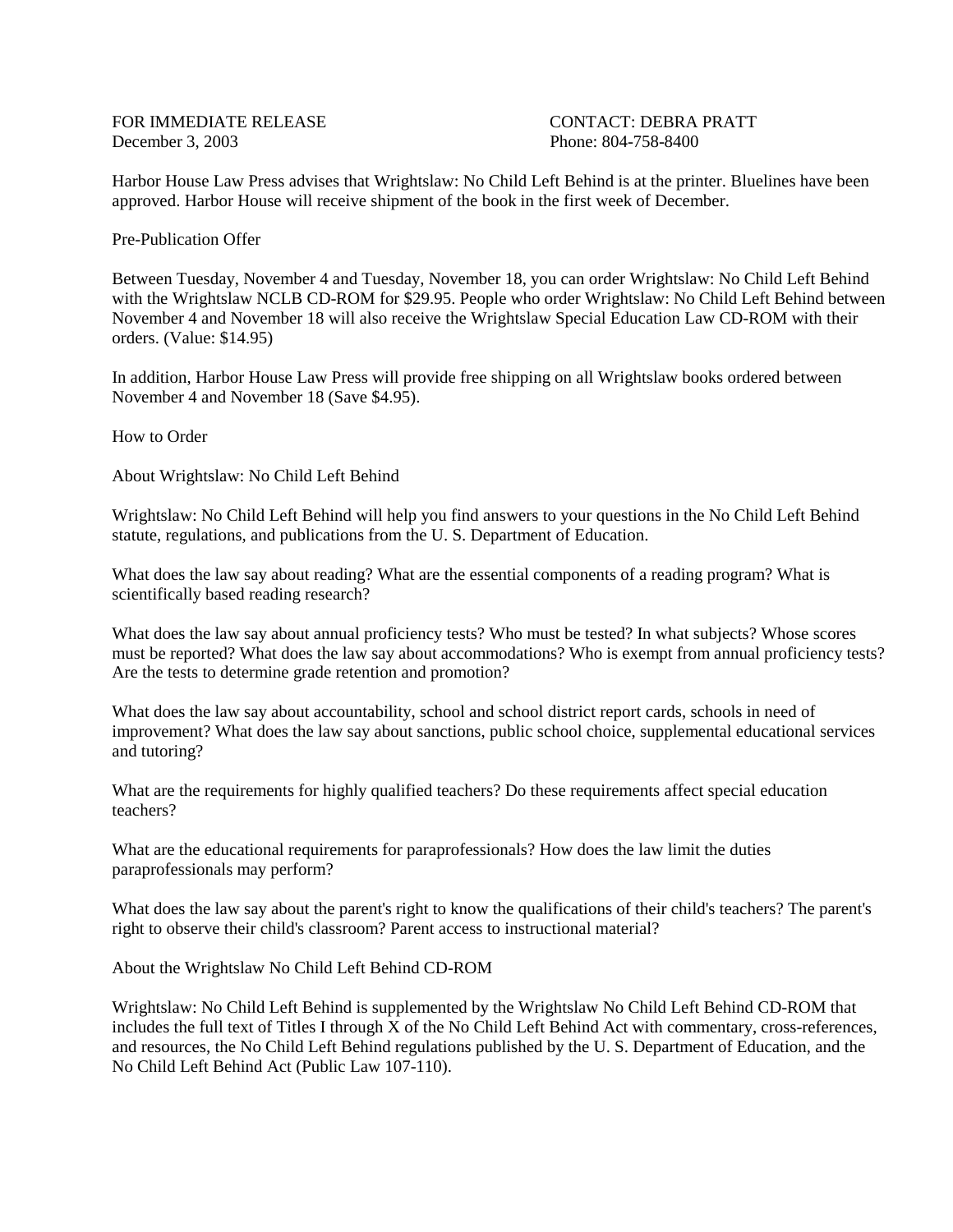FOR IMMEDIATE RELEASE CONTACT: DEBRA PRATT December 3, 2003 Phone: 804-758-8400

Harbor House Law Press advises that Wrightslaw: No Child Left Behind is at the printer. Bluelines have been approved. Harbor House will receive shipment of the book in the first week of December.

Pre-Publication Offer

Between Tuesday, November 4 and Tuesday, November 18, you can order Wrightslaw: No Child Left Behind with the Wrightslaw NCLB CD-ROM for \$29.95. People who order Wrightslaw: No Child Left Behind between November 4 and November 18 will also receive the Wrightslaw Special Education Law CD-ROM with their orders. (Value: \$14.95)

In addition, Harbor House Law Press will provide free shipping on all Wrightslaw books ordered between November 4 and November 18 (Save \$4.95).

How to Order

About Wrightslaw: No Child Left Behind

Wrightslaw: No Child Left Behind will help you find answers to your questions in the No Child Left Behind statute, regulations, and publications from the U. S. Department of Education.

What does the law say about reading? What are the essential components of a reading program? What is scientifically based reading research?

What does the law say about annual proficiency tests? Who must be tested? In what subjects? Whose scores must be reported? What does the law say about accommodations? Who is exempt from annual proficiency tests? Are the tests to determine grade retention and promotion?

What does the law say about accountability, school and school district report cards, schools in need of improvement? What does the law say about sanctions, public school choice, supplemental educational services and tutoring?

What are the requirements for highly qualified teachers? Do these requirements affect special education teachers?

What are the educational requirements for paraprofessionals? How does the law limit the duties paraprofessionals may perform?

What does the law say about the parent's right to know the qualifications of their child's teachers? The parent's right to observe their child's classroom? Parent access to instructional material?

About the Wrightslaw No Child Left Behind CD-ROM

Wrightslaw: No Child Left Behind is supplemented by the Wrightslaw No Child Left Behind CD-ROM that includes the full text of Titles I through X of the No Child Left Behind Act with commentary, cross-references, and resources, the No Child Left Behind regulations published by the U. S. Department of Education, and the No Child Left Behind Act (Public Law 107-110).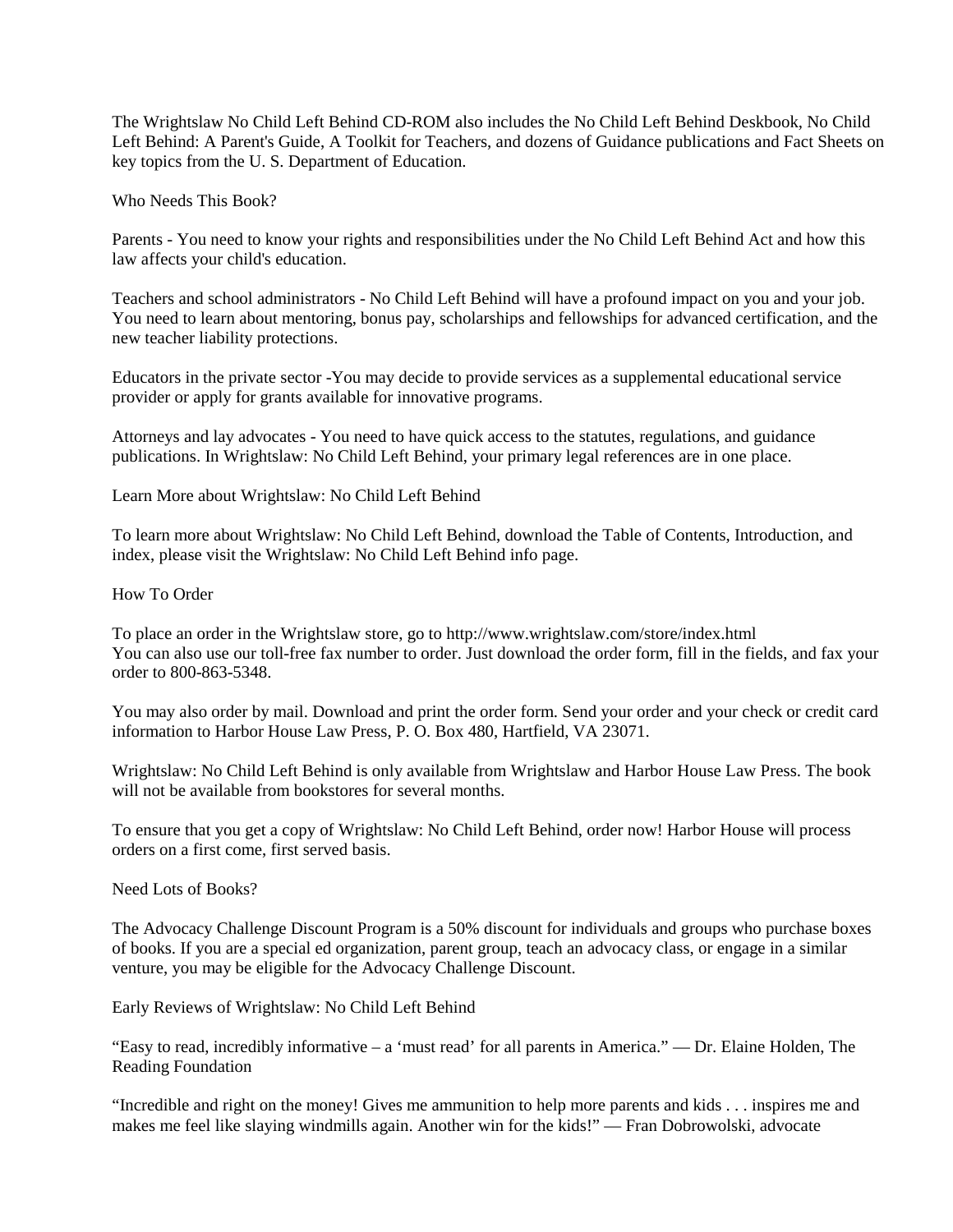The Wrightslaw No Child Left Behind CD-ROM also includes the No Child Left Behind Deskbook, No Child Left Behind: A Parent's Guide, A Toolkit for Teachers, and dozens of Guidance publications and Fact Sheets on key topics from the U. S. Department of Education.

Who Needs This Book?

Parents - You need to know your rights and responsibilities under the No Child Left Behind Act and how this law affects your child's education.

Teachers and school administrators - No Child Left Behind will have a profound impact on you and your job. You need to learn about mentoring, bonus pay, scholarships and fellowships for advanced certification, and the new teacher liability protections.

Educators in the private sector -You may decide to provide services as a supplemental educational service provider or apply for grants available for innovative programs.

Attorneys and lay advocates - You need to have quick access to the statutes, regulations, and guidance publications. In Wrightslaw: No Child Left Behind, your primary legal references are in one place.

Learn More about Wrightslaw: No Child Left Behind

To learn more about Wrightslaw: No Child Left Behind, download the Table of Contents, Introduction, and index, please visit the Wrightslaw: No Child Left Behind info page.

How To Order

To place an order in the Wrightslaw store, go to http://www.wrightslaw.com/store/index.html You can also use our toll-free fax number to order. Just download the order form, fill in the fields, and fax your order to 800-863-5348.

You may also order by mail. Download and print the order form. Send your order and your check or credit card information to Harbor House Law Press, P. O. Box 480, Hartfield, VA 23071.

Wrightslaw: No Child Left Behind is only available from Wrightslaw and Harbor House Law Press. The book will not be available from bookstores for several months.

To ensure that you get a copy of Wrightslaw: No Child Left Behind, order now! Harbor House will process orders on a first come, first served basis.

Need Lots of Books?

The Advocacy Challenge Discount Program is a 50% discount for individuals and groups who purchase boxes of books. If you are a special ed organization, parent group, teach an advocacy class, or engage in a similar venture, you may be eligible for the Advocacy Challenge Discount.

Early Reviews of Wrightslaw: No Child Left Behind

"Easy to read, incredibly informative – a 'must read' for all parents in America." — Dr. Elaine Holden, The Reading Foundation

"Incredible and right on the money! Gives me ammunition to help more parents and kids . . . inspires me and makes me feel like slaying windmills again. Another win for the kids!" — Fran Dobrowolski, advocate